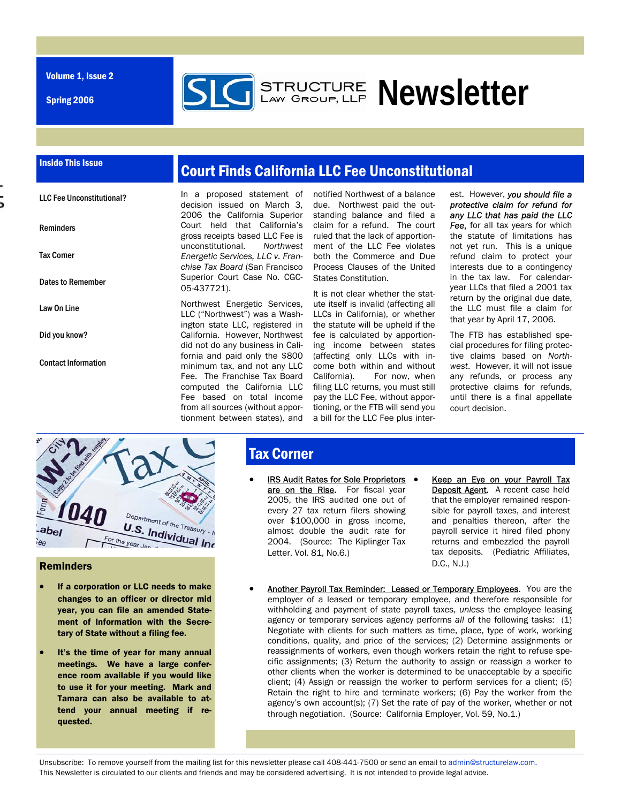Volume 1, Issue 2

Spring 2006



#### Inside This Issue

Reminders

Tax Corner

Law On Line

Did you know?

Contact Information

Dates to Remember

LLC Fee Unconstitutional?

## Court Finds California LLC Fee Unconstitutional

In a proposed statement of decision issued on March 3, 2006 the California Superior Court held that California's gross receipts based LLC Fee is unconstitutional. *Northwest Energetic Services, LLC v. Franchise Tax Board* (San Francisco Superior Court Case No. CGC-05-437721).

Northwest Energetic Services, LLC ("Northwest") was a Washington state LLC, registered in California. However, Northwest did not do any business in California and paid only the \$800 minimum tax, and not any LLC Fee. The Franchise Tax Board computed the California LLC Fee based on total income from all sources (without apportionment between states), and

notified Northwest of a balance due. Northwest paid the outstanding balance and filed a claim for a refund. The court ruled that the lack of apportionment of the LLC Fee violates both the Commerce and Due Process Clauses of the United States Constitution.

It is not clear whether the statute itself is invalid (affecting all LLCs in California), or whether the statute will be upheld if the fee is calculated by apportioning income between states (affecting only LLCs with income both within and without California). For now, when filing LLC returns, you must still pay the LLC Fee, without apportioning, or the FTB will send you a bill for the LLC Fee plus inter-

est. However, *you should file a protective claim for refund for any LLC that has paid the LLC*  **Fee.** for all tax years for which the statute of limitations has not yet run. This is a unique refund claim to protect your interests due to a contingency in the tax law. For calendaryear LLCs that filed a 2001 tax return by the original due date, the LLC must file a claim for that year by April 17, 2006.

The FTB has established special procedures for filing protective claims based on *Northwest*. However, it will not issue any refunds, or process any protective claims for refunds, until there is a final appellate court decision.



#### Reminders

- If a corporation or LLC needs to make changes to an officer or director mid year, you can file an amended Statement of Information with the Secretary of State without a filing fee.
- It's the time of year for many annual meetings. We have a large conference room available if you would like to use it for your meeting. Mark and Tamara can also be available to attend your annual meeting if requested.

### **Tax Corner**

- IRS Audit Rates for Sole Proprietors . are on the Rise. For fiscal year 2005, the IRS audited one out of every 27 tax return filers showing over \$100,000 in gross income, almost double the audit rate for 2004. (Source: The Kiplinger Tax Letter, Vol. 81, No.6.)
- Keep an Eye on your Payroll Tax Deposit Agent. A recent case held that the employer remained responsible for payroll taxes, and interest and penalties thereon, after the payroll service it hired filed phony returns and embezzled the payroll tax deposits. (Pediatric Affiliates, D.C., N.J.)
- Another Payroll Tax Reminder: Leased or Temporary Employees. You are the employer of a leased or temporary employee, and therefore responsible for withholding and payment of state payroll taxes, *unless* the employee leasing agency or temporary services agency performs *all* of the following tasks: (1) Negotiate with clients for such matters as time, place, type of work, working conditions, quality, and price of the services; (2) Determine assignments or reassignments of workers, even though workers retain the right to refuse specific assignments; (3) Return the authority to assign or reassign a worker to other clients when the worker is determined to be unacceptable by a specific client; (4) Assign or reassign the worker to perform services for a client; (5) Retain the right to hire and terminate workers; (6) Pay the worker from the agency's own account(s); (7) Set the rate of pay of the worker, whether or not through negotiation. (Source: California Employer, Vol. 59, No.1.)

Unsubscribe: To remove yourself from the mailing list for this newsletter please call 408-441-7500 or send an email to admin@structurelaw.com. This Newsletter is circulated to our clients and friends and may be considered advertising. It is not intended to provide legal advice.